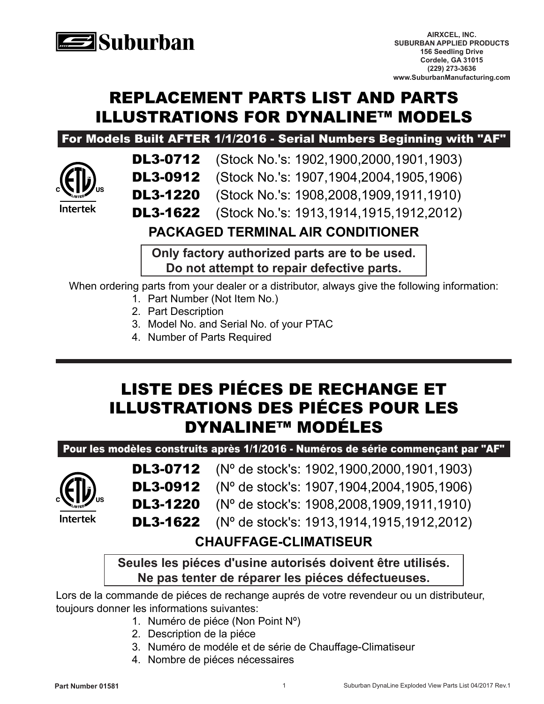

## REPLACEMENT PARTS LIST AND PARTS ILLUSTRATIONS FOR DYNALINE™ MODELS

For Models Built AFTER 1/1/2016 - Serial Numbers Beginning with "AF"



DL3-0712 (Stock No.'s: 1902,1900,2000,1901,1903) DL3-0912 (Stock No.'s: 1907,1904,2004,1905,1906)

DL3-1220 (Stock No.'s: 1908,2008,1909,1911,1910)

DL3-1622 (Stock No.'s: 1913,1914,1915,1912,2012)

## **PACKAGED TERMINAL AIR CONDITIONER**

**Only factory authorized parts are to be used. Do not attempt to repair defective parts.**

When ordering parts from your dealer or a distributor, always give the following information:

- 1. Part Number (Not Item No.)
- 2. Part Description
- 3. Model No. and Serial No. of your PTAC
- 4. Number of Parts Required

## LISTE DES PIÉCES DE RECHANGE ET ILLUSTRATIONS DES PIÉCES POUR LES DYNALINE™ MODÉLES

Pour les modèles construits après 1/1/2016 - Numéros de série commençant par "AF"



DL3-0712 (Nº de stock's: 1902,1900,2000,1901,1903)

DL3-0912 (Nº de stock's: 1907,1904,2004,1905,1906)

**DL3-1220** (N° de stock's: 1908,2008,1909,1911,1910)

**DL3-1622** (N° de stock's: 1913,1914,1915,1912,2012)

## **CHAUFFAGE-CLIMATISEUR**

**Seules les piéces d'usine autorisés doivent être utilisés. Ne pas tenter de réparer les piéces défectueuses.**

Lors de la commande de piéces de rechange auprés de votre revendeur ou un distributeur, toujours donner les informations suivantes:

- 1. Numéro de piéce (Non Point Nº)
- 2. Description de la piéce
- 3. Numéro de modéle et de série de Chauffage-Climatiseur
- 4. Nombre de piéces nécessaires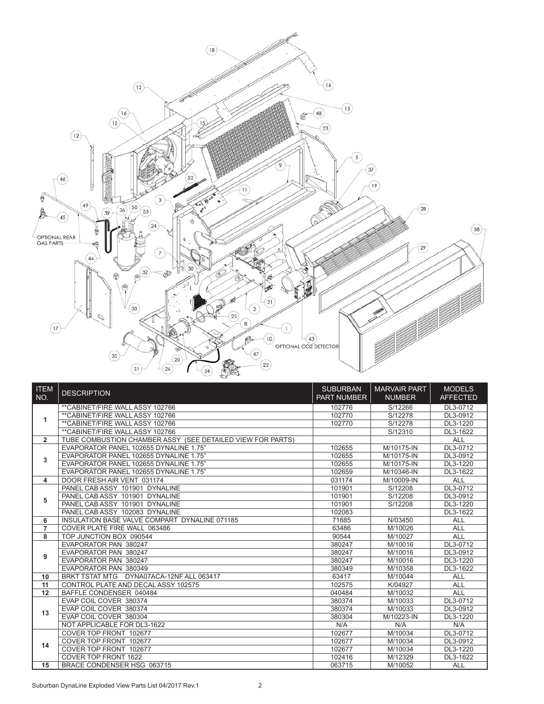

| <b>ITEM</b>    | <b>DESCRIPTION</b>                                         | <b>SUBURBAN</b>    | <b>MARVAIR PART</b> | <b>MODELS</b>   |
|----------------|------------------------------------------------------------|--------------------|---------------------|-----------------|
| NO.            |                                                            | <b>PART NUMBER</b> | <b>NUMBER</b>       | <b>AFFECTED</b> |
|                | **CABINET/FIRE WALL ASSY 102766                            | 102776             | S/12266             | DL3-0712        |
|                | **CABINET/FIRE WALL ASSY 102766                            | 102770             | S/12278             | DL3-0912        |
| 1              | **CABINET/FIRE WALL ASSY 102766                            | 102770             | S/12278             | DL3-1220        |
|                | **CABINET/FIRE WALL ASSY 102766                            |                    | S/12310             | DL3-1622        |
| $\overline{2}$ | TUBE COMBUSTION CHAMBER ASSY (SEE DETAILED VIEW FOR PARTS) |                    |                     | <b>ALL</b>      |
|                | EVAPORATOR PANEL 102655 DYNALINE 1.75"                     | 102655             | M/10175-IN          | DL3-0712        |
| 3              | EVAPORATOR PANEL 102655 DYNALINE 1.75"                     | 102655             | M/10175-IN          | DL3-0912        |
|                | EVAPORATOR PANEL 102655 DYNALINE 1.75"                     | 102655             | M/10175-IN          | DL3-1220        |
|                | EVAPORATOR PANEL 102655 DYNALINE 1.75"                     | 102659             | M/10346-IN          | DL3-1622        |
| 4              | DOOR FRESH AIR VENT 031174                                 | 031174             | M/10009-IN          | <b>ALL</b>      |
|                | PANEL CAB ASSY 101901 DYNALINE                             | 101901             | S/12208             | DL3-0712        |
| 5              | PANEL CAB ASSY 101901 DYNALINE                             | 101901             | S/12208             | DL3-0912        |
|                | PANEL CAB ASSY 101901 DYNALINE                             | 101901             | S/12208             | DL3-1220        |
|                | PANEL CAB ASSY 102083 DYNALINE                             | 102083             |                     | DL3-1622        |
| 6              | INSULATION BASE VALVE COMPART DYNALINE 071185              | 71885              | N/03450             | ALL             |
| $\overline{7}$ | COVER PLATE FIRE WALL 063486                               | 63486              | M/10026             | <b>ALL</b>      |
| 8              | TOP JUNCTION BOX 090544                                    | 90544              | M/10027             | <b>ALL</b>      |
|                | EVAPORATOR PAN 380247                                      | 380247             | M/10016             | DL3-0712        |
| 9              | EVAPORATOR PAN 380247                                      | 380247             | M/10016             | DL3-0912        |
|                | EVAPORATOR PAN 380247                                      | 380247             | M/10016             | DL3-1220        |
|                | EVAPORATOR PAN 380349                                      | 380349             | M/10358             | DL3-1622        |
| 10             | <b>BRKT TSTAT MTG</b><br>DYNA07ACA-12NF ALL 063417         | 63417              | M/10044             | <b>ALL</b>      |
| 11             | CONTROL PLATE AND DECAL ASSY 102575                        | 102575             | K/04927             | <b>ALL</b>      |
| 12             | BAFFLE CONDENSER 040484                                    | 040484             | M/10032             | <b>ALL</b>      |
|                | EVAP COIL COVER 380374                                     | 380374             | M/10033             | DL3-0712        |
| 13             | EVAP COIL COVER 380374                                     | 380374             | M/10033             | DL3-0912        |
|                | EVAP COIL COVER 380304                                     | 380304             | M/10223-IN          | DL3-1220        |
|                | NOT APPLICABLE FOR DL3-1622                                | N/A                | N/A                 | N/A             |
|                | COVER TOP FRONT 102677                                     | 102677             | M/10034             | DL3-0712        |
| 14             | COVER TOP FRONT 102677                                     | 102677             | M/10034             | DL3-0912        |
|                | COVER TOP FRONT 102677                                     | 102677             | M/10034             | DL3-1220        |
|                | COVER TOP FRONT 1622                                       | 102416             | M/12329             | DL3-1622        |
| 15             | BRACE CONDENSER HSG 063715                                 | 063715             | M/10052             | <b>ALL</b>      |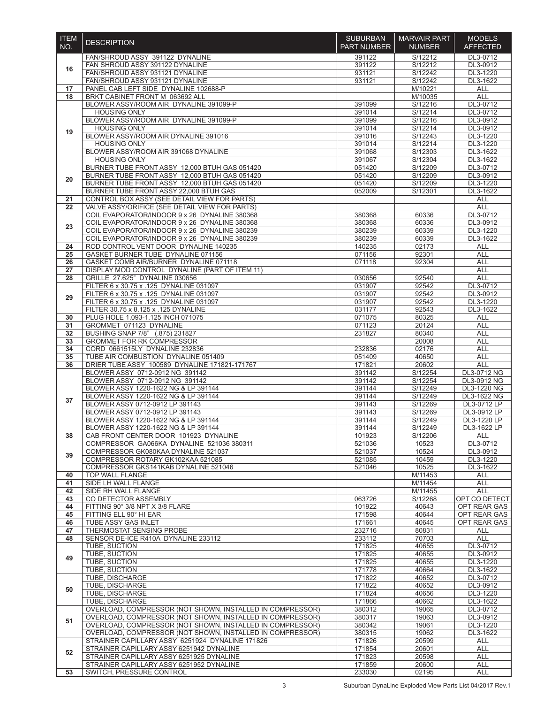| <b>ITEM</b><br>NO. | <b>DESCRIPTION</b>                                                                             | <b>SUBURBAN</b><br><b>PART NUMBER</b> | <b>MARVAIR PART</b><br><b>NUMBER</b> | <b>MODELS</b><br><b>AFFECTED</b> |
|--------------------|------------------------------------------------------------------------------------------------|---------------------------------------|--------------------------------------|----------------------------------|
|                    |                                                                                                |                                       | S/12212                              | DL3-0712                         |
|                    | FAN/SHROUD ASSY 391122 DYNALINE<br>FAN SHROUD ASSY 391122 DYNALINE                             | 391122<br>391122                      | S/12212                              | DL3-0912                         |
| 16                 | FAN/SHROUD ASSY 931121 DYNALINE                                                                | 931121                                | S/12242                              | DL3-1220                         |
|                    | FAN/SHROUD ASSY 931121 DYNALINE                                                                | 931121                                | S/12242                              | DL3-1622                         |
| 17                 | PANEL CAB LEFT SIDE DYNALINE 102688-P                                                          |                                       | M/10221                              | <b>ALL</b>                       |
| 18                 | BRKT CABINET FRONT M 063692 ALL                                                                |                                       | M/10035                              | <b>ALL</b>                       |
|                    | BLOWER ASSY/ROOM AIR DYNALINE 391099-P                                                         | 391099                                | S/12216                              | DL3-0712                         |
|                    | <b>HOUSING ONLY</b>                                                                            | 391014                                | S/12214                              | DL3-0712                         |
|                    | BLOWER ASSY/ROOM AIR DYNALINE 391099-P                                                         | 391099                                | S/12216                              | DL3-0912                         |
| 19                 | <b>HOUSING ONLY</b>                                                                            | 391014                                | S/12214                              | DL3-0912                         |
|                    | BLOWER ASSY/ROOM AIR DYNALINE 391016                                                           | 391016                                | S/12243                              | DL3-1220                         |
|                    | <b>HOUSING ONLY</b>                                                                            | 391014                                | S/12214                              | DL3-1220                         |
|                    | BLOWER ASSY/ROOM AIR 391068 DYNALINE                                                           | 391068                                | S/12303                              | DL3-1622                         |
|                    | <b>HOUSING ONLY</b>                                                                            | 391067                                | S/12304                              | DL3-1622                         |
|                    | BURNER TUBE FRONT ASSY 12,000 BTUH GAS 051420<br>BURNER TUBE FRONT ASSY 12,000 BTUH GAS 051420 | 051420                                | S/12209<br>S/12209                   | DL3-0712                         |
| 20                 | BURNER TUBE FRONT ASSY 12,000 BTUH GAS 051420                                                  | 051420<br>051420                      | S/12209                              | DL3-0912<br>DL3-1220             |
|                    | BURNER TUBE FRONT ASSY 22,000 BTUH GAS                                                         | 052009                                | S/12301                              | DL3-1622                         |
| 21                 | CONTROL BOX ASSY (SEE DETAIL VIEW FOR PARTS)                                                   |                                       |                                      | <b>ALL</b>                       |
| 22                 | VALVE ASSY/ORIFICE (SEE DETAIL VIEW FOR PARTS)                                                 |                                       |                                      | <b>ALL</b>                       |
|                    | COIL EVAPORATOR/INDOOR 9 x 26 DYNALINE 380368                                                  | 380368                                | 60336                                | DL3-0712                         |
|                    | COIL EVAPORATOR/INDOOR 9 x 26 DYNALINE 380368                                                  | 380368                                | 60336                                | DL3-0912                         |
| 23                 | COIL EVAPORATOR/INDOOR 9 x 26 DYNALINE 380239                                                  | 380239                                | 60339                                | DL3-1220                         |
|                    | COIL EVAPORATOR/INDOOR 9 x 26 DYNALINE 380239                                                  | 380239                                | 60339                                | DL3-1622                         |
| 24                 | ROD CONTROL VENT DOOR DYNALINE 140235                                                          | 140235                                | 02173                                | <b>ALL</b>                       |
| 25                 | GASKET BURNER TUBE DYNALINE 071156                                                             | 071156                                | 92301                                | <b>ALL</b>                       |
| 26                 | GASKET COMB AIR/BURNER DYNALINE 071118                                                         | 071118                                | 92304                                | <b>ALL</b>                       |
| 27                 | DISPLAY MOD CONTROL DYNALINE (PART OF ITEM 11)                                                 |                                       |                                      | <b>ALL</b>                       |
| 28                 | GRILLE 27.625" DYNALINE 030656                                                                 | 030656                                | 92540                                | <b>ALL</b>                       |
|                    | FILTER 6 x 30.75 x .125 DYNALINE 031097                                                        | 031907                                | 92542                                | DL3-0712                         |
| 29                 | FILTER 6 x 30.75 x .125 DYNALINE 031097                                                        | 031907                                | 92542                                | DL3-0912                         |
|                    | FILTER 6 x 30.75 x .125 DYNALINE 031097                                                        | 031907                                | 92542                                | DL3-1220                         |
|                    | FILTER 30.75 x 8.125 x .125 DYNALINE                                                           | 031177                                | 92543                                | DL3-1622                         |
| 30                 | PLUG HOLE 1.093-1.125 INCH 071075                                                              | 071075                                | 80325                                | <b>ALL</b>                       |
| 31                 | GROMMET 071123 DYNALINE                                                                        | 071123                                | 20124                                | <b>ALL</b>                       |
| 32                 | BUSHING SNAP 7/8" (.875) 231827                                                                | 231827                                | 80340                                | <b>ALL</b>                       |
| 33                 | <b>GROMMET FOR RK COMPRESSOR</b>                                                               |                                       | 20008                                | <b>ALL</b>                       |
| 34                 | CORD 0661515LY DYNALINE 232836                                                                 | 232836                                | 02176                                | <b>ALL</b>                       |
| 35                 | TUBE AIR COMBUSTION DYNALINE 051409                                                            | 051409                                | 40650                                | <b>ALL</b>                       |
| 36                 | DRIER TUBE ASSY 100589 DYNALINE 171821-171767<br>BLOWER ASSY 0712-0912 NG 391142               | 171821<br>391142                      | 20602<br>S/12254                     | <b>ALL</b><br>DL3-0712 NG        |
|                    | BLOWER ASSY 0712-0912 NG 391142                                                                | 391142                                | S/12254                              | DL3-0912 NG                      |
|                    | BLOWER ASSY 1220-1622 NG & LP 391144                                                           | 391144                                | S/12249                              | DL3-1220 NG                      |
|                    | BLOWER ASSY 1220-1622 NG & LP 391144                                                           | 391144                                | S/12249                              | DL3-1622 NG                      |
| 37                 | BLOWER ASSY 0712-0912 LP 391143                                                                | 391143                                | S/12269                              | DL3-0712 LP                      |
|                    | BLOWER ASSY 0712-0912 LP 391143                                                                | 391143                                | S/12269                              | DL3-0912 LP                      |
|                    | BLOWER ASSY 1220-1622 NG & LP 391144                                                           | 391144                                | S/12249                              | DL3-1220 LP                      |
|                    | BLOWER ASSY 1220-1622 NG & LP 391144                                                           | 391144                                | S/12249                              | DL3-1622 LP                      |
| 38                 | CAB FRONT CENTER DOOR 101923 DYNALINE                                                          | 101923                                | S/12206                              | <b>ALL</b>                       |
|                    | COMPRESSOR GA066KA DYNALINE 521036 380311                                                      | 521036                                | 10523                                | DL3-0712                         |
|                    | COMPRESSOR GK080KAA DYNALINE 521037                                                            | 521037                                | 10524                                | DL3-0912                         |
| 39                 | COMPRESSOR ROTARY GK102KAA 521085                                                              | 521085                                | 10459                                | DL3-1220                         |
|                    | COMPRESSOR GKS141KAB DYNALINE 521046                                                           | 521046                                | 10525                                | DL3-1622                         |
| 40                 | TOP WALL FLANGE                                                                                |                                       | M/11453                              | ALL                              |
| 41                 | SIDE LH WALL FLANGE                                                                            |                                       | M/11454                              | ALL                              |
| 42                 | SIDE RH WALL FLANGE                                                                            |                                       | M/11455                              | <b>ALL</b>                       |
| 43                 | CO DETECTOR ASSEMBLY                                                                           | 063726                                | S/12268                              | OPT CO DETECT                    |
| 44                 | FITTING 90° 3/8 NPT X 3/8 FLARE                                                                | 101922                                | 40643                                | OPT REAR GAS                     |
| 45<br>46           | FITTING ELL 90° HI EAR<br>TUBE ASSY GAS INLET                                                  | 171598<br>171661                      | 40644<br>40645                       | OPT REAR GAS<br>OPT REAR GAS     |
|                    | THERMOSTAT SENSING PROBE                                                                       |                                       |                                      |                                  |
| 47<br>48           | SENSOR DE-ICE R410A DYNALINE 233112                                                            | 232716<br>233112                      | 80831<br>70703                       | <b>ALL</b><br><b>ALL</b>         |
|                    | TUBE, SUCTION                                                                                  | 171825                                | 40655                                | DL3-0712                         |
|                    | TUBE, SUCTION                                                                                  | 171825                                | 40655                                | DL3-0912                         |
| 49                 | TUBE, SUCTION                                                                                  | 171825                                | 40655                                | DL3-1220                         |
|                    | TUBE, SUCTION                                                                                  | 171778                                | 40664                                | DL3-1622                         |
|                    | TUBE, DISCHARGE                                                                                | 171822                                | 40652                                | DL3-0712                         |
|                    | TUBE, DISCHARGE                                                                                | 171822                                | 40652                                | DL3-0912                         |
| 50                 | TUBE, DISCHARGE                                                                                | 171824                                | 40656                                | DL3-1220                         |
|                    | TUBE, DISCHARGE                                                                                | 171866                                | 40662                                | DL3-1622                         |
|                    | OVERLOAD, COMPRESSOR (NOT SHOWN, INSTALLED IN COMPRESSOR)                                      | 380312                                | 19065                                | DL3-0712                         |
|                    | OVERLOAD, COMPRESSOR (NOT SHOWN, INSTALLED IN COMPRESSOR)                                      | 380317                                | 19063                                | DL3-0912                         |
| 51                 | OVERLOAD, COMPRESSOR (NOT SHOWN, INSTALLED IN COMPRESSOR)                                      | 380342                                | 19061                                | DL3-1220                         |
|                    | OVERLOAD, COMPRESSOR (NOT SHOWN, INSTALLED IN COMPRESSOR)                                      | 380315                                | 19062                                | DL3-1622                         |
|                    | STRAINER CAPILLARY ASSY 6251924 DYNALINE 171826                                                | 171826                                | 20599                                | <b>ALL</b>                       |
|                    | STRAINER CAPILLARY ASSY 6251942 DYNALINE                                                       | 171854                                | 20601                                | <b>ALL</b>                       |
| 52                 | STRAINER CAPILLARY ASSY 6251925 DYNALINE                                                       | 171823                                | 20598                                | ALL                              |
|                    | STRAINER CAPILLARY ASSY 6251952 DYNALINE                                                       | 171859                                | 20600                                | ALL                              |
| 53                 | SWITCH, PRESSURE CONTROL                                                                       | 233030                                | 02195                                | ALL                              |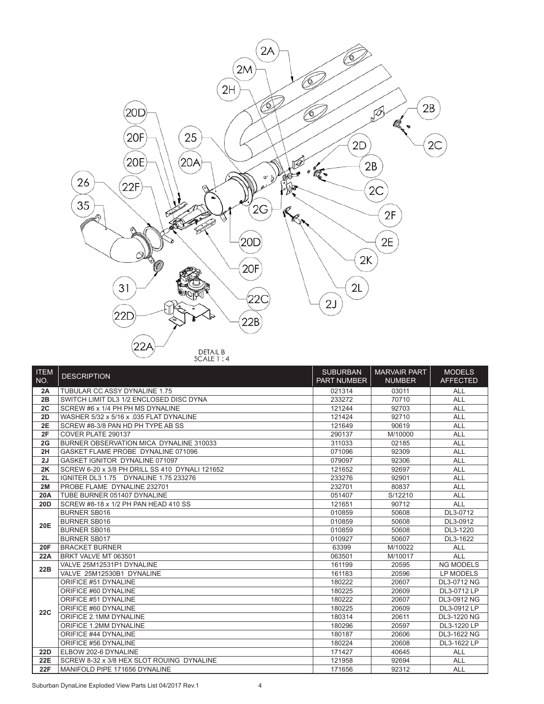

| <b>ITEM</b><br>NO. | <b>DESCRIPTION</b>                             | <b>SUBURBAN</b><br><b>PART NUMBER</b> | <b>MARVAIR PART</b><br><b>NUMBER</b> | <b>MODELS</b><br><b>AFFECTED</b> |
|--------------------|------------------------------------------------|---------------------------------------|--------------------------------------|----------------------------------|
| 2A                 | TUBULAR CC ASSY DYNALINE 1.75                  | 021314                                | 03011                                | <b>ALL</b>                       |
| 2B                 | SWITCH LIMIT DL3 1/2 ENCLOSED DISC DYNA        | 233272                                | 70710                                | <b>ALL</b>                       |
| 2C                 | SCREW #6 x 1/4 PH PH MS DYNALINE               | 121244                                | 92703                                | <b>ALL</b>                       |
| 2D                 | WASHER 5/32 x 5/16 x .035 FLAT DYNALINE        | 121424                                | 92710                                | <b>ALL</b>                       |
| 2E                 | SCREW #8-3/8 PAN HD PH TYPE AB SS              | 121649                                | 90619                                | <b>ALL</b>                       |
| 2F                 | COVER PLATE 290137                             | 290137                                | M/10000                              | <b>ALL</b>                       |
| 2G                 | BURNER OBSERVATION MICA DYNALINE 310033        | 311033                                | 02185                                | <b>ALL</b>                       |
| 2H                 | GASKET FLAME PROBE DYNALINE 071096             | 071096                                | 92309                                | <b>ALL</b>                       |
| 2J                 | GASKET IGNITOR DYNALINE 071097                 | 079097                                | 92306                                | <b>ALL</b>                       |
| 2K                 | SCREW 6-20 x 3/8 PH DRILL SS 410 DYNALI 121652 | 121652                                | 92697                                | <b>ALL</b>                       |
| 2L                 | IGNITER DL3 1.75 DYNALINE 1.75 233276          | 233276                                | 92901                                | ALL                              |
| 2M                 | PROBE FLAME DYNALINE 232701                    | 232701                                | 80837                                | ALL                              |
| 20A                | TUBE BURNER 051407 DYNALINE                    | 051407                                | S/12210                              | ALL                              |
| 20 <sub>D</sub>    | SCREW #8-18 x 1/2 PH PAN HEAD 410 SS           | 121651                                | 90712                                | <b>ALL</b>                       |
|                    | <b>BURNER SB016</b>                            | 010859                                | 50608                                | DL3-0712                         |
| <b>20E</b>         | <b>BURNER SB016</b>                            | 010859                                | 50608                                | DL3-0912                         |
|                    | <b>BURNER SB016</b>                            | 010859                                | 50608                                | DL3-1220                         |
|                    | <b>BURNER SB017</b>                            | 010927                                | 50607                                | DL3-1622                         |
| <b>20F</b>         | <b>BRACKET BURNER</b>                          | 63399                                 | M/10022                              | <b>ALL</b>                       |
| 22A                | BRKT VALVE MT 063501                           | 063501                                | M/10017                              | ALL                              |
| <b>22B</b>         | VALVE 25M12531P1 DYNALINE                      | 161199                                | 20595                                | <b>NG MODELS</b>                 |
|                    | VALVE 25M12530B1 DYNALINE                      | 161183                                | 20596                                | LP MODELS                        |
|                    | ORIFICE #51 DYNALINE                           | 180222                                | 20607                                | DL3-0712 NG                      |
|                    | ORIFICE #60 DYNALINE                           | 180225                                | 20609                                | DL3-0712 LP                      |
|                    | ORIFICE #51 DYNALINE                           | 180222                                | 20607                                | DL3-0912 NG                      |
| <b>22C</b>         | ORIFICE #60 DYNALINE                           | 180225                                | 20609                                | DL3-0912 LP                      |
|                    | ORIFICE 2.1MM DYNALINE                         | 180314                                | 20611                                | DL3-1220 NG                      |
|                    | ORIFICE 1.2MM DYNALINE                         | 180296                                | 20597                                | DL3-1220 LP                      |
|                    | ORIFICE #44 DYNALINE                           | 180187                                | 20606                                | DL3-1622 NG                      |
|                    | ORIFICE #56 DYNALINE                           | 180224                                | 20608                                | DL3-1622 LP                      |
| 22D                | ELBOW 202-6 DYNALINE                           | 171427                                | 40645                                | <b>ALL</b>                       |
| 22E                | SCREW 8-32 x 3/8 HEX SLOT ROUING DYNALINE      | 121958                                | 92694                                | <b>ALL</b>                       |
| <b>22F</b>         | MANIFOLD PIPE 171656 DYNALINE                  | 171656                                | 92312                                | <b>ALL</b>                       |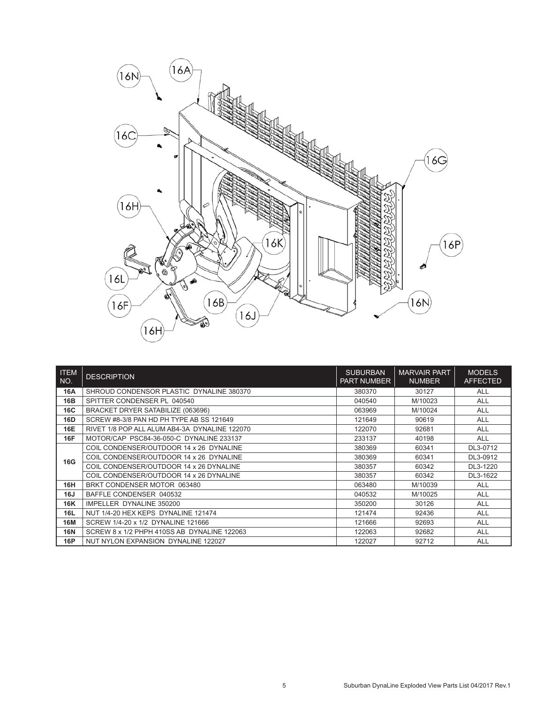

| <b>ITEM</b><br>NO. | <b>DESCRIPTION</b>                            | <b>SUBURBAN</b><br><b>MARVAIR PART</b><br><b>PART NUMBER</b><br><b>NUMBER</b> |         | <b>MODELS</b><br><b>AFFECTED</b> |
|--------------------|-----------------------------------------------|-------------------------------------------------------------------------------|---------|----------------------------------|
| 16A                | SHROUD CONDENSOR PLASTIC DYNALINE 380370      | 380370                                                                        | 30127   | <b>ALL</b>                       |
| 16B                | SPITTER CONDENSER PL 040540                   | 040540                                                                        | M/10023 | <b>ALL</b>                       |
| 16C                | BRACKET DRYER SATABILIZE (063696)             | 063969                                                                        | M/10024 | <b>ALL</b>                       |
| 16D                | SCREW #8-3/8 PAN HD PH TYPE AB SS 121649      | 121649                                                                        | 90619   | <b>ALL</b>                       |
| 16E                | RIVET 1/8 POP ALL ALUM AB4-3A DYNALINE 122070 | 122070                                                                        | 92681   | <b>ALL</b>                       |
| <b>16F</b>         | MOTOR/CAP PSC84-36-050-C DYNALINE 233137      | 233137                                                                        | 40198   | <b>ALL</b>                       |
|                    | COIL CONDENSER/OUTDOOR 14 x 26 DYNALINE       | 380369                                                                        | 60341   | DL3-0712                         |
| 16G                | COIL CONDENSER/OUTDOOR 14 x 26 DYNALINE       | 380369                                                                        | 60341   | DL3-0912                         |
|                    | COIL CONDENSER/OUTDOOR 14 x 26 DYNALINE       | 380357                                                                        | 60342   | DL3-1220                         |
|                    | COIL CONDENSER/OUTDOOR 14 x 26 DYNALINE       | 380357                                                                        | 60342   | DL3-1622                         |
| 16H                | BRKT CONDENSER MOTOR 063480                   | 063480                                                                        | M/10039 | <b>ALL</b>                       |
| 16J                | BAFFLE CONDENSER 040532                       | 040532                                                                        | M/10025 | <b>ALL</b>                       |
| 16K                | IMPELLER DYNALINE 350200                      | 350200                                                                        | 30126   | <b>ALL</b>                       |
| 16L                | NUT 1/4-20 HEX KEPS DYNALINE 121474           | 121474                                                                        | 92436   | <b>ALL</b>                       |
| 16M                | SCREW 1/4-20 x 1/2 DYNALINE 121666            | 121666                                                                        | 92693   | <b>ALL</b>                       |
| <b>16N</b>         | SCREW 8 x 1/2 PHPH 410SS AB DYNALINE 122063   | 122063                                                                        | 92682   | <b>ALL</b>                       |
| 16P                | NUT NYLON EXPANSION DYNALINE 122027           | 122027                                                                        | 92712   | <b>ALL</b>                       |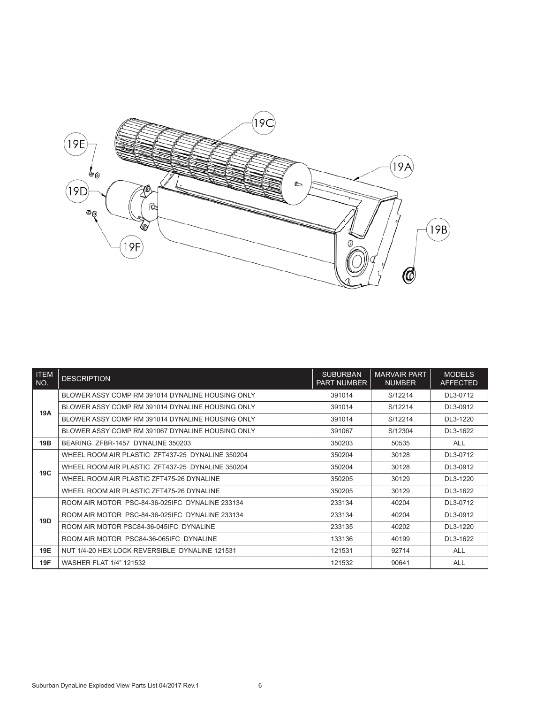

| <b>ITEM</b><br>NO. | <b>DESCRIPTION</b>                               | <b>SUBURBAN</b><br><b>PART NUMBER</b> | <b>MARVAIR PART</b><br><b>NUMBER</b> | <b>MODELS</b><br><b>AFFECTED</b> |
|--------------------|--------------------------------------------------|---------------------------------------|--------------------------------------|----------------------------------|
|                    | BLOWER ASSY COMP RM 391014 DYNALINE HOUSING ONLY | 391014                                | S/12214                              | DL3-0712                         |
| 19A                | BLOWER ASSY COMP RM 391014 DYNALINE HOUSING ONLY | 391014                                | S/12214                              | DL3-0912                         |
|                    | BLOWER ASSY COMP RM 391014 DYNALINE HOUSING ONLY | 391014                                | S/12214                              | DL3-1220                         |
|                    | BLOWER ASSY COMP RM 391067 DYNALINE HOUSING ONLY | 391067                                | S/12304                              | DL3-1622                         |
| 19B                | BEARING ZFBR-1457 DYNALINE 350203                | 350203                                | 50535                                | <b>ALL</b>                       |
|                    | WHEEL ROOM AIR PLASTIC ZFT437-25 DYNALINE 350204 | 350204                                | 30128                                | DL3-0712                         |
| 19C                | WHEEL ROOM AIR PLASTIC ZFT437-25 DYNALINE 350204 | 350204                                | 30128                                | DL3-0912                         |
|                    | WHEEL ROOM AIR PLASTIC ZFT475-26 DYNALINE        | 350205                                | 30129                                | DL3-1220                         |
|                    | WHEEL ROOM AIR PLASTIC ZFT475-26 DYNALINE        | 350205                                | 30129                                | DL3-1622                         |
|                    | ROOM AIR MOTOR PSC-84-36-025IFC DYNALINE 233134  | 233134                                | 40204                                | DL3-0712                         |
| 19D                | ROOM AIR MOTOR PSC-84-36-025IFC DYNALINE 233134  | 233134                                | 40204                                | DL3-0912                         |
|                    | ROOM AIR MOTOR PSC84-36-045IFC DYNALINE          | 233135                                | 40202                                | DL3-1220                         |
|                    | ROOM AIR MOTOR PSC84-36-065IFC DYNALINE          | 133136                                | 40199                                | DL3-1622                         |
| 19E                | NUT 1/4-20 HEX LOCK REVERSIBLE DYNALINE 121531   | 121531                                | 92714                                | <b>ALL</b>                       |
| 19F                | WASHER FLAT 1/4" 121532                          | 121532                                | 90641                                | <b>ALL</b>                       |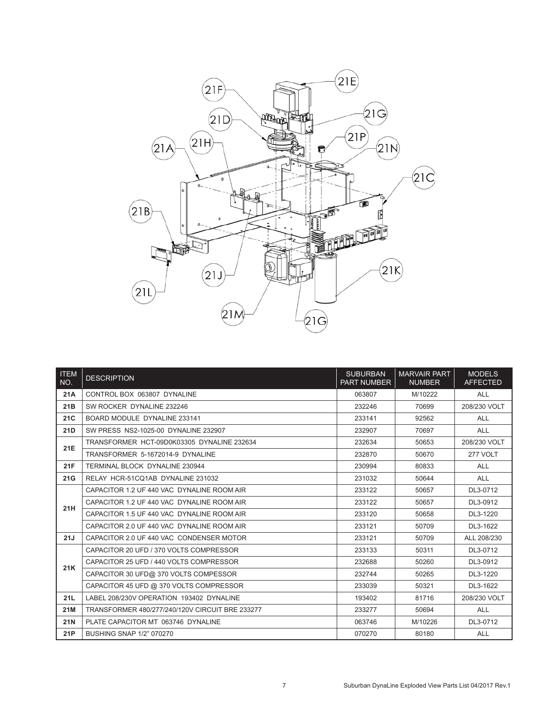

| ITEM<br>NO.     | <b>DESCRIPTION</b>                              | <b>SUBURBAN</b><br><b>PART NUMBER</b> | <b>MARVAIR PART</b><br><b>NUMBER</b> | <b>MODELS</b><br><b>AFFECTED</b> |
|-----------------|-------------------------------------------------|---------------------------------------|--------------------------------------|----------------------------------|
| 21A             | CONTROL BOX 063807 DYNALINE                     | 063807                                | M/10222                              | <b>ALL</b>                       |
| 21 <sub>B</sub> | SW ROCKER DYNALINE 232246                       | 232246                                | 70699                                | 208/230 VOLT                     |
| 21C             | BOARD MODULE DYNALINE 233141                    | 233141                                | 92562                                | <b>ALL</b>                       |
| 21D             | SW PRESS NS2-1025-00 DYNALINE 232907            | 232907                                | 70697                                | <b>ALL</b>                       |
| 21E             | TRANSFORMER HCT-09D0K03305 DYNALINE 232634      | 232634                                | 50653                                | 208/230 VOLT                     |
|                 | TRANSFORMER 5-1672014-9 DYNALINE                | 232870                                | 50670                                | 277 VOLT                         |
| 21F             | TERMINAL BLOCK DYNALINE 230944                  | 230994                                | 80833                                | <b>ALL</b>                       |
| 21G             | RELAY HCR-51CQ1AB DYNALINE 231032               | 231032                                | 50644                                | <b>ALL</b>                       |
|                 | CAPACITOR 1.2 UF 440 VAC DYNALINE ROOM AIR      | 233122                                | 50657                                | DL3-0712                         |
| 21H             | CAPACITOR 1.2 UF 440 VAC DYNALINE ROOM AIR      | 233122                                | 50657                                | DL3-0912                         |
|                 | CAPACITOR 1.5 UF 440 VAC DYNALINE ROOM AIR      | 233120                                | 50658                                | DL3-1220                         |
|                 | CAPACITOR 2.0 UF 440 VAC DYNALINE ROOM AIR      | 233121                                | 50709                                | DL3-1622                         |
| 21J             | CAPACITOR 2.0 UF 440 VAC CONDENSER MOTOR        | 233121                                | 50709                                | ALL 208/230                      |
|                 | CAPACITOR 20 UFD / 370 VOLTS COMPRESSOR         | 233133                                | 50311                                | DL3-0712                         |
| 21K             | CAPACITOR 25 UFD / 440 VOLTS COMPRESSOR         | 232688                                | 50260                                | DL3-0912                         |
|                 | CAPACITOR 30 UFD@ 370 VOLTS COMPESSOR           | 232744                                | 50265                                | DL3-1220                         |
|                 | CAPACITOR 45 UFD @ 370 VOLTS COMPRESSOR         | 233039                                | 50321                                | DL3-1622                         |
| 21L             | LABEL 208/230V OPERATION 193402 DYNALINE        | 193402                                | 81716                                | 208/230 VOLT                     |
| 21M             | TRANSFORMER 480/277/240/120V CIRCUIT BRE 233277 | 233277                                | 50694                                | <b>ALL</b>                       |
| <b>21N</b>      | PLATE CAPACITOR MT 063746 DYNALINE              | 063746                                | M/10226                              | DL3-0712                         |
| <b>21P</b>      | <b>BUSHING SNAP 1/2" 070270</b>                 | 070270                                | 80180                                | <b>ALL</b>                       |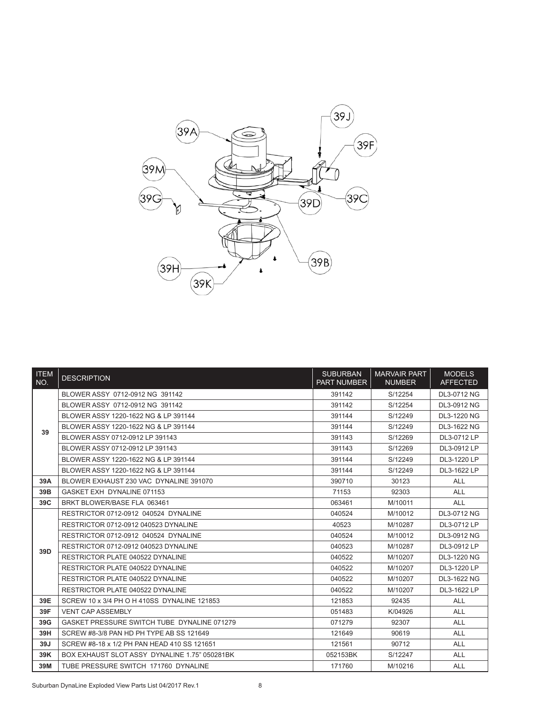

| <b>ITEM</b><br>NO. | <b>DESCRIPTION</b>                            | <b>SUBURBAN</b><br><b>PART NUMBER</b> | <b>MARVAIR PART</b><br><b>NUMBER</b> | <b>MODELS</b><br><b>AFFECTED</b> |
|--------------------|-----------------------------------------------|---------------------------------------|--------------------------------------|----------------------------------|
|                    | BLOWER ASSY 0712-0912 NG 391142               | 391142                                | S/12254                              | DL3-0712 NG                      |
|                    | BLOWER ASSY 0712-0912 NG 391142               | 391142                                | S/12254                              | DL3-0912 NG                      |
|                    | BLOWER ASSY 1220-1622 NG & LP 391144          | 391144                                | S/12249                              | DL3-1220 NG                      |
| 39                 | BLOWER ASSY 1220-1622 NG & LP 391144          | 391144                                | S/12249                              | DL3-1622 NG                      |
|                    | BLOWER ASSY 0712-0912 LP 391143               | 391143                                | S/12269                              | DL3-0712 LP                      |
|                    | BLOWER ASSY 0712-0912 LP 391143               | 391143                                | S/12269                              | DL3-0912 LP                      |
|                    | BLOWER ASSY 1220-1622 NG & LP 391144          | 391144                                | S/12249                              | DL3-1220 LP                      |
|                    | BLOWER ASSY 1220-1622 NG & LP 391144          | 391144                                | S/12249                              | DL3-1622 LP                      |
| 39A                | BLOWER EXHAUST 230 VAC DYNALINE 391070        | 390710                                | 30123                                | <b>ALL</b>                       |
| 39 <sub>B</sub>    | GASKET EXH DYNALINE 071153                    | 71153                                 | 92303                                | <b>ALL</b>                       |
| 39C                | BRKT BLOWER/BASE FLA 063461                   | 063461                                | M/10011                              | <b>ALL</b>                       |
|                    | RESTRICTOR 0712-0912 040524 DYNALINE          | 040524                                | M/10012                              | DL3-0712 NG                      |
|                    | RESTRICTOR 0712-0912 040523 DYNALINE          | 40523                                 | M/10287                              | DL3-0712 LP                      |
|                    | RESTRICTOR 0712-0912 040524 DYNALINE          | 040524                                | M/10012                              | DL3-0912 NG                      |
| 39D                | RESTRICTOR 0712-0912 040523 DYNALINE          | 040523                                | M/10287                              | DL3-0912 LP                      |
|                    | RESTRICTOR PLATE 040522 DYNALINE              | 040522                                | M/10207                              | DL3-1220 NG                      |
|                    | RESTRICTOR PLATE 040522 DYNALINE              | 040522                                | M/10207                              | DL3-1220 LP                      |
|                    | RESTRICTOR PLATE 040522 DYNALINE              | 040522                                | M/10207                              | DL3-1622 NG                      |
|                    | RESTRICTOR PLATE 040522 DYNALINE              | 040522                                | M/10207                              | DL3-1622 LP                      |
| 39E                | SCREW 10 x 3/4 PH O H 410SS DYNALINE 121853   | 121853                                | 92435                                | <b>ALL</b>                       |
| 39F                | <b>VENT CAP ASSEMBLY</b>                      | 051483                                | K/04926                              | <b>ALL</b>                       |
| 39G                | GASKET PRESSURE SWITCH TUBE DYNALINE 071279   | 071279                                | 92307                                | <b>ALL</b>                       |
| 39H                | SCREW #8-3/8 PAN HD PH TYPE AB SS 121649      | 121649                                | 90619                                | <b>ALL</b>                       |
| 39J                | SCREW #8-18 x 1/2 PH PAN HEAD 410 SS 121651   | 121561                                | 90712                                | <b>ALL</b>                       |
| 39K                | BOX EXHAUST SLOT ASSY DYNALINE 1.75" 050281BK | 052153BK                              | S/12247                              | <b>ALL</b>                       |
| 39M                | TUBE PRESSURE SWITCH 171760 DYNALINE          | 171760                                | M/10216                              | <b>ALL</b>                       |

Suburban DynaLine Exploded View Parts List 04/2017 Rev.1 8